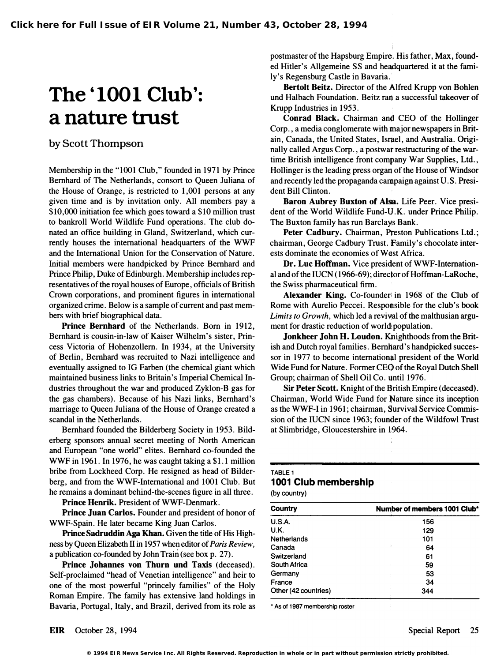# The '1001 Club': a nature trust

#### by Scott Thompson

Membership in the "1001 Club," founded in 1971 by Prince Bernhard of The Netherlands, consort to Queen Juliana of the House of Orange, is restricted to 1,001 persons at any given time and is by invitation only. All members pay a \$10,000 initiation fee which goes toward a \$10 million trust to bankroll World Wildlife Fund operations. The club donated an office building in Gland, Switzerland, which currently houses the international headquarters of the WWF and the International Union for the Conservation of Nature. Initial members were handpicked by Prince Bernhard and Prince Philip, Duke of Edinburgh. Membership includes representatives of the royal houses of Europe, officials of British Crown corporations, and prominent figures in international organized crime. Below is a sample of current and past members with brief biographical data.

Prince Bernhard of the Netherlands. Born in 1912, Bernhard is cousin-in-Iaw of Kaiser Wilhelm's sister, Princess Victoria of Hohenzollern. In 1934, at the University of Berlin, Bernhard was recruited to Nazi intelligence and eventually assigned to IG Farben (the chemical giant which maintained business links to Britain's Imperial Chemical Industries throughout the war and produced Zyklon-B gas for the gas chambers). Because of his Nazi links, Bernhard's marriage to Queen Juliana of the House of Orange created a scandal in the Netherlands.

Bernhard founded the Bilderberg Society in 1953. Bilderberg sponsors annual secret meeting of North American and European "one world" elites. Bernhard co-founded the WWF in 1961. In 1976, he was caught taking a \$1.1 million bribe from Lockheed Corp. He resigned as head of Bilderberg, and from the WWF-International and 1001 Club. But he remains a dominant behind-the-scenes figure in all three.

Prince Henrik. President of WWF-Denmark.

Prince Juan Carlos. Founder and president of honor of WWF-Spain. He later became King Juan Carlos.

Prince Sadruddin Aga Khan. Given the title of His Highness by Queen Elizabeth II in 1957 when editor of Paris Review, a publication co-founded by John Train (see box p. 27).

Prince Johannes von Thurn und Taxis (deceased). Self-proclaimed "head of Venetian intelligence" and heir to one of the most powerful "princely families" of the Holy Roman Empire. The family has extensive land holdings in Bavaria, Portugal, Italy, and Brazil, derived from its role as postmaster of the Hapsburg Empire. His father, Max, founded Hitler's Allgemeine SS and headquartered it at the family's Regensburg Castle in Bavaria.

Bertolt Beitz. Director of the Alfred Krupp von Bohlen und Halbach Foundation. Beitz ran a successful takeover of Krupp Industries in 1953.

Conrad Black. Chairman and CEO of the Hollinger Corp., a media conglomerate with major newspapers in Britain, Canada, the United States, Israel, and Australia. Originally called Argus Corp., a postwar restructuring of the wartime British intelligence front company War Supplies, Ltd., Hollinger is the leading press organ of the House of Windsor and recently led the propaganda campaign against U. S. President Bill Clinton.

Baron Aubrey Buxton of Alsa. Life Peer. Vice president of the World Wildlife Fund-U.K. under Prince Philip. The Buxton family has run Barclays Bank.

Peter Cadbury. Chairman, Preston Publications Ltd.; chairman, George Cadbury Trust. Family's chocolate interests dominate the economies of West Africa.

Dr. Luc Hoffman. Vice president of WWF-International and of the IUCN (1966-69); director of Hoffman-LaRoche, the Swiss pharmaceutical firm.

Alexander King. Co-founder in 1968 of the Club of Rome with Aurelio Peccei. Responsible for the club's book Limits to Growth, which led a revival of the malthusian argument for drastic reduction of world population.

Jonkheer John H. Loudon. Knighthoods from the British and Dutch royal families. Bernhard's handpicked successor in 1977 to become international president of the World Wide Fund for Nature. Former CEO of the Royal Dutch Shell Group; chairman of Shell Oil Co. until 1976.

Sir Peter Scott. Knight of the British Empire (deceased). Chairman, World Wide Fund for Nature since its inception as the WWF-I in 1961; chairman, Survival Service Commission of the IUCN since 1963; founder of the Wildfowl Trust at Slimbridge, Gloucestershire in 1964.

#### TABLE 1 1001 Club membership

(by country)

| Country              | Number of members 1001 Club* |
|----------------------|------------------------------|
| U.S.A.               | 156                          |
| U.K.                 | 129                          |
| <b>Netherlands</b>   | 101                          |
| Canada               | 64                           |
| Switzerland          | 61                           |
| South Africa         | 59                           |
| Germany              | 53                           |
| France               | 34                           |
| Other (42 countries) | 344                          |

• As of 1987 membership roster